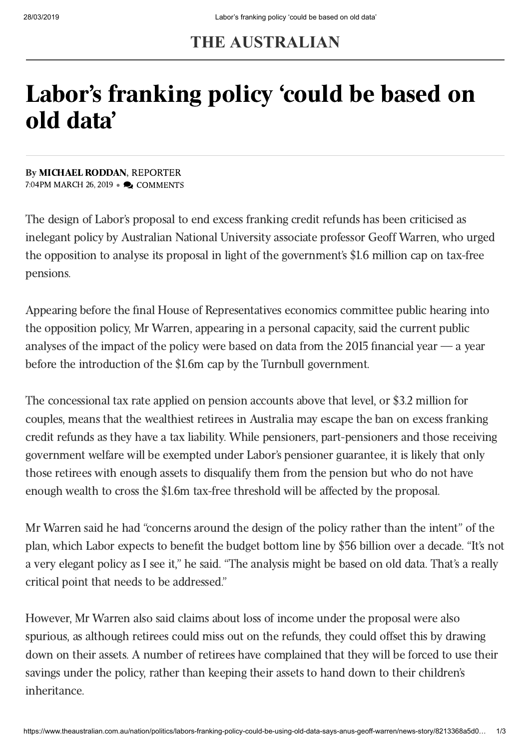# **THE AUSTRALIAN**

# Labor's franking policy 'could be based on old data'

By [MICHAEL](https://www.theaustralian.com.au/author/Michael+Roddan) RODDAN, REPORTER 7:04PM MARCH 26, 2019 • **D** COMMENTS

The design of Labor's proposal to end excess franking credit refunds has been criticised as inelegant policy by Australian National University associate professor Geoff Warren, who urged the opposition to analyse its proposal in light of the government's \$1.6 million cap on tax-free pensions.

Appearing before the final House of Representatives economics committee public hearing into the opposition policy, Mr Warren, appearing in a personal capacity, said the current public analyses of the impact of the policy were based on data from the 2015 financial year  $\rightarrow$  a year before the introduction of the \$1.6m cap by the Turnbull government.

The concessional tax rate applied on pension accounts above that level, or \$3.2 million for couples, means that the wealthiest retirees in Australia may escape the ban on excess franking credit refunds as they have a tax liability. While pensioners, part-pensioners and those receiving government welfare will be exempted under Labor's pensioner guarantee, it is likely that only those retirees with enough assets to disqualify them from the pension but who do not have enough wealth to cross the \$1.6m tax-free threshold will be affected by the proposal.

Mr Warren said he had "concerns around the design of the policy rather than the intent" of the plan, which Labor expects to benefit the budget bottom line by \$56 billion over a decade. "It's not a very elegant policy as I see it," he said. "The analysis might be based on old data. That's a really critical point that needs to be addressed."

However, Mr Warren also said claims about loss of income under the proposal were also spurious, as although retirees could miss out on the refunds, they could offset this by drawing down on their assets. A number of retirees have complained that they will be forced to use their savings under the policy, rather than keeping their assets to hand down to their children's inheritance.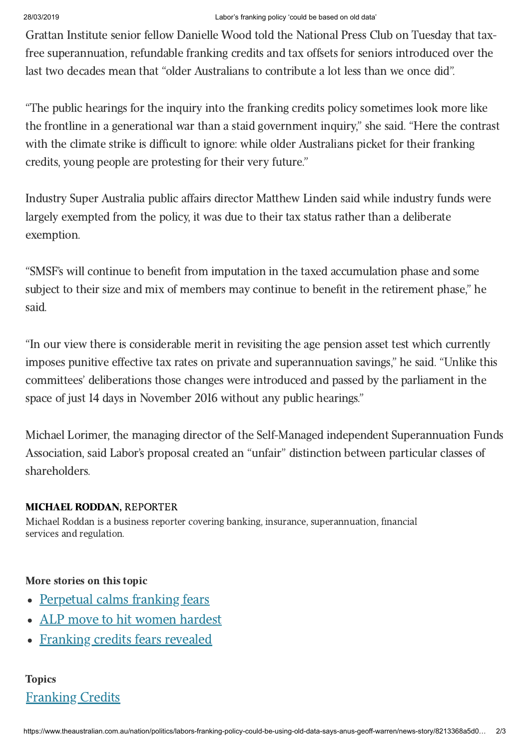### 28/03/2019 Labor's franking policy 'could be based on old data'

Grattan Institute senior fellow Danielle Wood told the National Press Club on Tuesday that taxfree superannuation, refundable franking credits and tax offsets for seniors introduced over the last two decades mean that "older Australians to contribute a lot less than we once did".

"The public hearings for the inquiry into the franking credits policy sometimes look more like the frontline in a generational war than a staid government inquiry," she said. "Here the contrast with the climate strike is difficult to ignore: while older Australians picket for their franking credits, young people are protesting for their very future."

Industry Super Australia public affairs director Matthew Linden said while industry funds were largely exempted from the policy, it was due to their tax status rather than a deliberate exemption.

"SMSF's will continue to benefit from imputation in the taxed accumulation phase and some subject to their size and mix of members may continue to benefit in the retirement phase," he said.

"In our view there is considerable merit in revisiting the age pension asset test which currently imposes punitive effective tax rates on private and superannuation savings," he said. "Unlike this committees' deliberations those changes were introduced and passed by the parliament in the space of just 14 days in November 2016 without any public hearings."

Michael Lorimer, the managing director of the Self-Managed independent Superannuation Funds Association, said Labor's proposal created an "unfair" distinction between particular classes of shareholders.

## [MICHAEL](https://www.theaustralian.com.au/author/Michael+Roddan) RODDAN, REPORTER

Michael Roddan is a business reporter covering banking, insurance, superannuation, financial services and regulation.

# More stories on this topic

- [Perpetual](https://www.theaustralian.com.au/business/markets/perpetual-calms-franking-fears/news-story/0cf6e9af369187e55cd408b8be569afb) calms franking fears
- ALP move to hit women [hardest](https://www.theaustralian.com.au/business/wealth/women-hit-hardest-by-franking-credit-changes/news-story/b978f266835d7e3439495db61e95b1a4)
- [Franking](https://www.theaustralian.com.au/business/wealth/afic-survey-reveals-franking-credits-fears/news-story/618069483bede1a5a3db5e595ee7636d) credits fears revealed

# [Franking](https://www.theaustralian.com.au/topics/franking-credits) Credits **Topics**